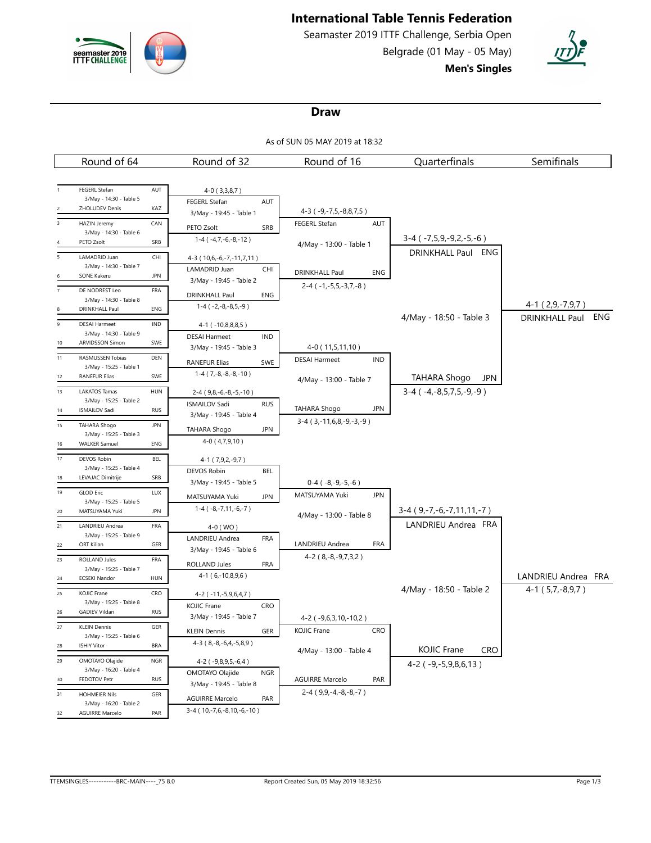

# **International Table Tennis Federation**

Seamaster 2019 ITTF Challenge, Serbia Open Belgrade (01 May - 05 May) **Men's Singles**



### **Draw**

As of SUN 05 MAY 2019 at 18:32

| Round of 64                                                         | Round of 32                                                | Round of 16                                      | Quarterfinals                    | Semifinals                                        |
|---------------------------------------------------------------------|------------------------------------------------------------|--------------------------------------------------|----------------------------------|---------------------------------------------------|
|                                                                     |                                                            |                                                  |                                  |                                                   |
| FEGERL Stefan<br>AUT                                                | $4-0(3,3,8,7)$                                             |                                                  |                                  |                                                   |
| 3/May - 14:30 - Table 5<br>ZHOLUDEV Denis<br>KAZ                    | FEGERL Stefan<br>AUT                                       |                                                  |                                  |                                                   |
| HAZIN Jeremy<br>CAN<br>$\overline{\mathbf{3}}$                      | 3/May - 19:45 - Table 1                                    | 4-3 (-9,-7,5,-8,8,7,5)<br>FEGERL Stefan<br>AUT   |                                  |                                                   |
| 3/May - 14:30 - Table 6                                             | PETO Zsolt<br>SRB                                          |                                                  |                                  |                                                   |
| PETO Zsolt<br>SRB                                                   | $1-4$ ( $-4,7,-6,-8,-12$ )                                 | 4/May - 13:00 - Table 1                          | $3-4$ ( $-7,5,9,-9,2,-5,-6$ )    |                                                   |
| LAMADRID Juan<br>CHI<br>5                                           | 4-3 (10,6,-6,-7,-11,7,11)                                  |                                                  | DRINKHALL Paul ENG               |                                                   |
| 3/May - 14:30 - Table 7<br><b>JPN</b><br><b>SONE Kakeru</b>         | LAMADRID Juan<br>CHI                                       | <b>DRINKHALL Paul</b><br>ENG                     |                                  |                                                   |
| DE NODREST Leo<br>FRA<br>$\overline{7}$                             | 3/May - 19:45 - Table 2                                    | $2-4$ ( $-1,-5,5,-3,7,-8$ )                      |                                  |                                                   |
| 3/May - 14:30 - Table 8                                             | DRINKHALL Paul<br>ENG                                      |                                                  |                                  |                                                   |
| DRINKHALL Paul<br>ENG                                               | $1-4(-2,-8,-8,5,-9)$                                       |                                                  | 4/May - 18:50 - Table 3          | $4-1(2,9,-7,9,7)$<br>ENG<br><b>DRINKHALL Paul</b> |
| $\overline{9}$<br><b>DESAI Harmeet</b><br><b>IND</b>                | $4-1$ ( $-10,8,8,8,5$ )                                    |                                                  |                                  |                                                   |
| 3/May - 14:30 - Table 9<br>ARVIDSSON Simon<br>SWE<br>10             | <b>DESAI Harmeet</b><br><b>IND</b>                         |                                                  |                                  |                                                   |
| 11<br>RASMUSSEN Tobias<br>DEN                                       | 3/May - 19:45 - Table 3                                    | 4-0 (11,5,11,10)                                 |                                  |                                                   |
| 3/May - 15:25 - Table 1                                             | <b>RANEFUR Elias</b><br>SWE                                | <b>DESAI Harmeet</b><br>IND                      |                                  |                                                   |
| <b>RANEFUR Elias</b><br>SWE<br>12                                   | $1-4(7,-8,-8,-8,-10)$                                      | 4/May - 13:00 - Table 7                          | <b>TAHARA Shogo</b><br>JPN       |                                                   |
| 13<br><b>HUN</b><br><b>LAKATOS Tamas</b>                            | $2-4$ (9,8, -6, -8, -5, -10)                               |                                                  | $3-4$ ( $-4,-8,5,7,5,-9,-9$ )    |                                                   |
| 3/May - 15:25 - Table 2<br><b>ISMAILOV Sadi</b><br><b>RUS</b><br>14 | <b>ISMAILOV Sadi</b><br><b>RUS</b>                         | TAHARA Shogo<br><b>JPN</b>                       |                                  |                                                   |
| 15<br>TAHARA Shogo<br><b>JPN</b>                                    | 3/May - 19:45 - Table 4                                    | $3-4$ ( $3,-11,6,8,-9,-3,-9$ )                   |                                  |                                                   |
| 3/May - 15:25 - Table 3                                             | <b>TAHARA Shogo</b><br>JPN<br>$4-0(4,7,9,10)$              |                                                  |                                  |                                                   |
| <b>WALKER Samuel</b><br>ENG<br>16                                   |                                                            |                                                  |                                  |                                                   |
| BEL<br>17<br><b>DEVOS Robin</b><br>3/May - 15:25 - Table 4          | 4-1 (7,9,2,-9,7)                                           |                                                  |                                  |                                                   |
| LEVAJAC Dimitrije<br>SRB<br>18                                      | <b>DEVOS Robin</b><br>BEL                                  |                                                  |                                  |                                                   |
| LUX<br>19<br><b>GLOD Eric</b>                                       | 3/May - 19:45 - Table 5                                    | $0-4$ ( $-8,-9,-5,-6$ )<br>MATSUYAMA Yuki<br>JPN |                                  |                                                   |
| 3/May - 15:25 - Table 5                                             | <b>JPN</b><br>MATSUYAMA Yuki<br>$1-4$ ( $-8,-7,11,-6,-7$ ) |                                                  |                                  |                                                   |
| <b>JPN</b><br>MATSUYAMA Yuki<br>20                                  |                                                            | 4/May - 13:00 - Table 8                          | $3-4$ (9,-7,-6,-7,11,11,-7)      |                                                   |
| LANDRIEU Andrea<br>FRA<br>21<br>3/May - 15:25 - Table 9             | 4-0 (WO)                                                   |                                                  | LANDRIEU Andrea FRA              |                                                   |
| ORT Kilian<br>GER<br>22                                             | LANDRIEU Andrea<br>FRA<br>3/May - 19:45 - Table 6          | LANDRIEU Andrea<br>FRA                           |                                  |                                                   |
| ROLLAND Jules<br>FRA<br>23                                          |                                                            | $4-2$ (8, $-8$ , $-9$ , $7$ , $3$ , $2$ )        |                                  |                                                   |
| 3/May - 15:25 - Table 7                                             | FRA<br>ROLLAND Jules<br>$4-1(6,-10,8,9,6)$                 |                                                  |                                  | LANDRIEU Andrea FRA                               |
| HUN<br><b>ECSEKI Nandor</b><br>24                                   |                                                            |                                                  | 4/May - 18:50 - Table 2          | $4-1(5,7,-8,9,7)$                                 |
| CRO<br>25<br>KOJIC Frane<br>3/May - 15:25 - Table 8                 | 4-2 (-11,-5,9,6,4,7)                                       |                                                  |                                  |                                                   |
| <b>GADIEV Vildan</b><br><b>RUS</b><br>26                            | <b>KOJIC Frane</b><br>CRO<br>3/May - 19:45 - Table 7       |                                                  |                                  |                                                   |
| 27<br>GER<br><b>KLEIN Dennis</b>                                    | <b>KLEIN Dennis</b><br>GER                                 | 4-2 (-9,6,3,10,-10,2)<br>CRO<br>KOJIC Frane      |                                  |                                                   |
| 3/May - 15:25 - Table 6<br><b>BRA</b>                               | 4-3 ( 8,-8,-6,4,-5,8,9 )                                   |                                                  |                                  |                                                   |
| <b>ISHIY Vitor</b><br>28                                            |                                                            | 4/May - 13:00 - Table 4                          | <b>CRO</b><br><b>KOJIC Frane</b> |                                                   |
| <b>NGR</b><br>29<br>OMOTAYO Olajide<br>3/May - 16:20 - Table 4      | $4-2$ ( $-9,8,9,5,-6,4$ )<br>OMOTAYO Olajide               |                                                  | 4-2 (-9,-5,9,8,6,13)             |                                                   |
| FEDOTOV Petr<br><b>RUS</b><br>30                                    | <b>NGR</b><br>3/May - 19:45 - Table 8                      | <b>AGUIRRE Marcelo</b><br>PAR                    |                                  |                                                   |
| 31<br><b>HOHMEIER Nils</b><br>GER                                   | <b>AGUIRRE Marcelo</b><br>PAR                              | $2-4$ (9,9, -4, -8, -8, -7)                      |                                  |                                                   |
| 3/May - 16:20 - Table 2<br>PAR<br><b>AGUIRRE Marcelo</b><br>32      | 3-4 (10, -7, 6, -8, 10, -6, -10)                           |                                                  |                                  |                                                   |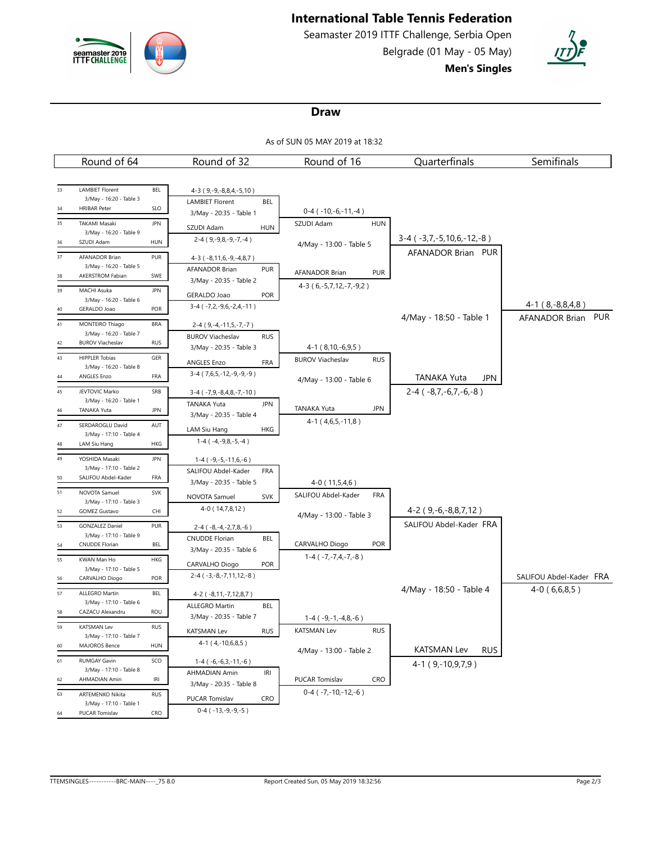

# **International Table Tennis Federation**

Seamaster 2019 ITTF Challenge, Serbia Open Belgrade (01 May - 05 May) **Men's Singles**



### **Draw**

As of SUN 05 MAY 2019 at 18:32

|    | Round of 64                                        |            | Round of 32                           | Round of 16                             |            | Quarterfinals                    | Semifinals                                   |  |
|----|----------------------------------------------------|------------|---------------------------------------|-----------------------------------------|------------|----------------------------------|----------------------------------------------|--|
|    |                                                    |            |                                       |                                         |            |                                  |                                              |  |
| 33 | <b>LAMBIET Florent</b>                             | <b>BEL</b> | 4-3 (9,-9,-8,8,4,-5,10)               |                                         |            |                                  |                                              |  |
| 34 | 3/May - 16:20 - Table 3<br><b>HRIBAR Peter</b>     | <b>SLO</b> | <b>LAMBIET Florent</b><br><b>BEL</b>  |                                         |            |                                  |                                              |  |
| 35 | <b>TAKAMI Masaki</b>                               | <b>JPN</b> | 3/May - 20:35 - Table 1               | $0-4$ ( $-10,-6,-11,-4$ )<br>SZUDI Adam | <b>HUN</b> |                                  |                                              |  |
|    | 3/May - 16:20 - Table 9                            |            | SZUDI Adam<br><b>HUN</b>              |                                         |            |                                  |                                              |  |
| 36 | SZUDI Adam                                         | <b>HUN</b> | $2-4$ (9, -9, 8, -9, -7, -4)          | 4/May - 13:00 - Table 5                 |            | $3-4$ ( $-3,7,-5,10,6,-12,-8$ )  |                                              |  |
| 37 | <b>AFANADOR Brian</b>                              | PUR        | $4-3$ ( $-8,11,6,-9,-4,8,7$ )         |                                         |            | AFANADOR Brian PUR               |                                              |  |
| 38 | 3/May - 16:20 - Table 5<br>AKERSTROM Fabian        | SWE        | <b>AFANADOR Brian</b><br><b>PUR</b>   | <b>AFANADOR Brian</b>                   | <b>PUR</b> |                                  |                                              |  |
| 39 |                                                    | <b>JPN</b> | 3/May - 20:35 - Table 2               | $4-3(6,-5,7,12,-7,-9,2)$                |            |                                  |                                              |  |
|    | MACHI Asuka<br>3/May - 16:20 - Table 6             |            | GERALDO Joao<br><b>POR</b>            |                                         |            |                                  |                                              |  |
| 40 | GERALDO Joao                                       | POR        | $3-4$ ( $-7,2,-9,6,-2,4,-11$ )        |                                         |            |                                  | $4-1$ ( $8,-8,8,4,8$ )<br>AFANADOR Brian PUR |  |
| 41 | MONTEIRO Thiago                                    | <b>BRA</b> | 2-4 (9, -4, -11, 5, -7, -7)           |                                         |            | 4/May - 18:50 - Table 1          |                                              |  |
| 42 | 3/May - 16:20 - Table 7<br><b>BUROV Viacheslav</b> | <b>RUS</b> | <b>BUROV Viacheslav</b><br><b>RUS</b> |                                         |            |                                  |                                              |  |
|    |                                                    |            | 3/May - 20:35 - Table 3               | 4-1 (8,10,-6,9,5)                       |            |                                  |                                              |  |
| 43 | <b>HIPPLER Tobias</b><br>3/May - 16:20 - Table 8   | GER        | <b>ANGLES Enzo</b><br><b>FRA</b>      | <b>BUROV Viacheslav</b>                 | <b>RUS</b> |                                  |                                              |  |
| 44 | ANGLES Enzo                                        | FRA        | $3-4$ (7,6,5,-12,-9,-9,-9)            | 4/May - 13:00 - Table 6                 |            | TANAKA Yuta<br>JPN               |                                              |  |
| 45 | JEVTOVIC Marko                                     | SRB        | 3-4 (-7,9,-8,4,8,-7,-10)              |                                         |            | $2-4$ ( $-8,7,-6,7,-6,-8$ )      |                                              |  |
|    | 3/May - 16:20 - Table 1<br>TANAKA Yuta             | <b>JPN</b> | <b>TANAKA Yuta</b><br><b>JPN</b>      | <b>TANAKA Yuta</b>                      | <b>JPN</b> |                                  |                                              |  |
| 46 |                                                    |            | 3/May - 20:35 - Table 4               | $4-1$ ( $4,6,5,-11,8$ )                 |            |                                  |                                              |  |
| 47 | SERDAROGLU David<br>3/May - 17:10 - Table 4        | AUT        | HKG<br>LAM Siu Hang                   |                                         |            |                                  |                                              |  |
| 48 | LAM Siu Hang                                       | HKG        | $1-4(-4,-9,8,-5,-4)$                  |                                         |            |                                  |                                              |  |
| 49 | YOSHIDA Masaki                                     | <b>JPN</b> | $1-4$ ( $-9,-5,-11,6,-6$ )            |                                         |            |                                  |                                              |  |
|    | 3/May - 17:10 - Table 2<br>SALIFOU Abdel-Kader     | FRA        | SALIFOU Abdel-Kader<br><b>FRA</b>     |                                         |            |                                  |                                              |  |
| 50 |                                                    |            | 3/May - 20:35 - Table 5               | $4-0(11,5,4,6)$                         |            |                                  |                                              |  |
| 51 | NOVOTA Samuel<br>3/May - 17:10 - Table 3           | SVK        | NOVOTA Samuel<br><b>SVK</b>           | SALIFOU Abdel-Kader                     | FRA        |                                  |                                              |  |
| 52 | <b>GOMEZ Gustavo</b>                               | CHI        | 4-0 (14,7,8,12)                       | 4/May - 13:00 - Table 3                 |            | $4-2$ (9, $-6$ , $-8,8,7,12$ )   |                                              |  |
| 53 | <b>GONZALEZ Daniel</b>                             | PUR        | 2-4 (-8,-4,-2,7,8,-6)                 |                                         |            | SALIFOU Abdel-Kader FRA          |                                              |  |
|    | 3/May - 17:10 - Table 9<br><b>CNUDDE Florian</b>   | BEL        | <b>CNUDDE Florian</b><br><b>BEL</b>   | CARVALHO Diogo                          | <b>POR</b> |                                  |                                              |  |
| 54 |                                                    |            | 3/May - 20:35 - Table 6               | $1-4$ ( $-7,-7,4,-7,-8$ )               |            |                                  |                                              |  |
| 55 | KWAN Man Ho<br>3/May - 17:10 - Table 5             | HKG        | <b>POR</b><br>CARVALHO Diogo          |                                         |            |                                  |                                              |  |
| 56 | CARVALHO Diogo                                     | POR        | $2-4$ ( $-3, -8, -7, 11, 12, -8$ )    |                                         |            |                                  | SALIFOU Abdel-Kader FRA                      |  |
| 57 | ALLEGRO Martin                                     | <b>BEL</b> | 4-2 (-8,11,-7,12,8,7)                 |                                         |            | 4/May - 18:50 - Table 4          | $4-0(6,6,8,5)$                               |  |
|    | 3/May - 17:10 - Table 6<br>CAZACU Alexandru        |            | <b>ALLEGRO Martin</b><br><b>BEL</b>   |                                         |            |                                  |                                              |  |
| 58 |                                                    | <b>ROU</b> | 3/May - 20:35 - Table 7               | $1-4$ ( $-9,-1,-4,8,-6$ )               |            |                                  |                                              |  |
| 59 | <b>KATSMAN Lev</b><br>3/May - 17:10 - Table 7      | <b>RUS</b> | <b>RUS</b><br><b>KATSMAN Lev</b>      | <b>KATSMAN Lev</b>                      | <b>RUS</b> |                                  |                                              |  |
| 60 | MAJOROS Bence                                      | HUN        | $4-1$ (4, -10, 6, 8, 5)               | 4/May - 13:00 - Table 2                 |            | <b>KATSMAN Lev</b><br><b>RUS</b> |                                              |  |
| 61 | <b>RUMGAY Gavin</b>                                | SCO        | $1-4$ ( $-6,-6,3,-11,-6$ )            |                                         |            | $4-1(9,-10,9,7,9)$               |                                              |  |
|    | 3/May - 17:10 - Table 8                            |            | AHMADIAN Amin<br>IRI                  |                                         |            |                                  |                                              |  |
| 62 | AHMADIAN Amin                                      | IRI        | 3/May - 20:35 - Table 8               | PUCAR Tomislav                          | <b>CRO</b> |                                  |                                              |  |
| 63 | ARTEMENKO Nikita<br>3/May - 17:10 - Table 1        | <b>RUS</b> | PUCAR Tomislav<br>CRO                 | $0-4$ ( $-7,-10,-12,-6$ )               |            |                                  |                                              |  |
| 64 | PUCAR Tomislav                                     | CRO        | $0-4$ ( $-13,-9,-9,-5$ )              |                                         |            |                                  |                                              |  |